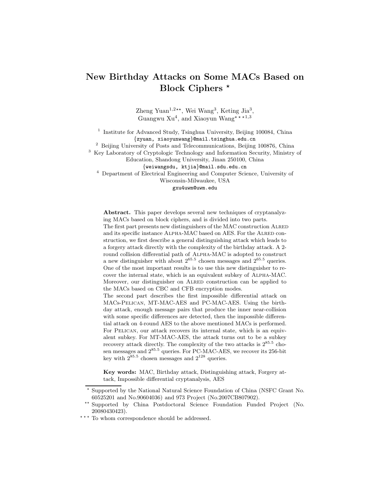# New Birthday Attacks on Some MACs Based on Block Ciphers  $*$

Zheng Yuan<sup>1,2\*\*</sup>, Wei Wang<sup>3</sup>, Keting Jia<sup>3</sup>, Guangwu  $Xu<sup>4</sup>$ , and Xiaoyun Wang<sup>\*\*\*1,3</sup>

<sup>1</sup> Institute for Advanced Study, Tsinghua University, Beijing 100084, China {zyuan, xiaoyunwang}@mail.tsinghua.edu.cn

<sup>2</sup> Beijing University of Posts and Telecommunications, Beijing 100876, China

<sup>3</sup> Key Laboratory of Cryptologic Technology and Information Security, Ministry of

Education, Shandong University, Jinan 250100, China

{weiwangsdu, ktjia}@mail.sdu.edu.cn

<sup>4</sup> Department of Electrical Engineering and Computer Science, University of

Wisconsin-Milwaukee, USA

gxu4uwm@uwm.edu

Abstract. This paper develops several new techniques of cryptanalyzing MACs based on block ciphers, and is divided into two parts. The first part presents new distinguishers of the MAC construction Alred and its specific instance ALPHA-MAC based on AES. For the ALRED construction, we first describe a general distinguishing attack which leads to

a forgery attack directly with the complexity of the birthday attack. A 2 round collision differential path of Alpha-MAC is adopted to construct a new distinguisher with about  $2^{65.5}$  chosen messages and  $2^{65.5}$  queries. One of the most important results is to use this new distinguisher to recover the internal state, which is an equivalent subkey of Alpha-MAC. Moreover, our distinguisher on Alred construction can be applied to the MACs based on CBC and CFB encryption modes.

The second part describes the first impossible differential attack on MACs-Pelican, MT-MAC-AES and PC-MAC-AES. Using the birthday attack, enough message pairs that produce the inner near-collision with some specific differences are detected, then the impossible differential attack on 4-round AES to the above mentioned MACs is performed. For PELICAN, our attack recovers its internal state, which is an equivalent subkey. For MT-MAC-AES, the attack turns out to be a subkey recovery attack directly. The complexity of the two attacks is  $2^{85.5}$  chosen messages and  $2^{85.5}$  queries. For PC-MAC-AES, we recover its 256-bit key with  $2^{85.5}$  chosen messages and  $2^{128}$  queries.

Key words: MAC, Birthday attack, Distinguishing attack, Forgery attack, Impossible differential cryptanalysis, AES

<sup>⋆</sup> Supported by the National Natural Science Foundation of China (NSFC Grant No. 60525201 and No.90604036) and 973 Project (No.2007CB807902).

<sup>\*\*</sup> Supported by China Postdoctoral Science Foundation Funded Project (No. 20080430423).

<sup>\*\*\*</sup> To whom correspondence should be addressed.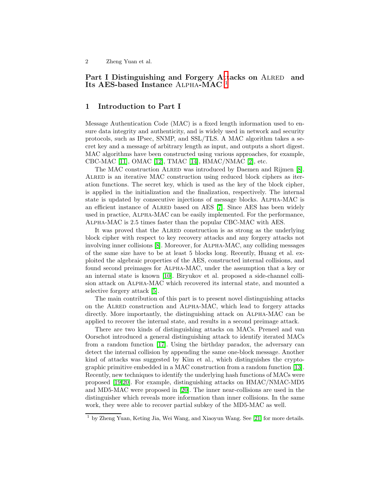## Part I Distinguishing and Forgery A[tt](#page-1-0)acks on ALRED and Its AES-based Instance Alpha-MAC <sup>1</sup>

## 1 Introduction to Part I

Message Authentication Code (MAC) is a fixed length information used to ensure data integrity and authenticity, and is widely used in network and security protocols, such as IPsec, SNMP, and SSL/TLS. A MAC algorithm takes a secret key and a message of arbitrary length as input, and outputs a short digest. MAC algorithms have been constructed using various approaches, for example, CBC-MAC [\[11\]](#page-21-0), OMAC [\[12\]](#page-21-1), TMAC [\[14\]](#page-21-2), HMAC/NMAC [\[2\]](#page-20-0), etc.

The MAC construction Alred was introduced by Daemen and Rijmen [\[8\]](#page-21-3). ALRED is an iterative MAC construction using reduced block ciphers as iteration functions. The secret key, which is used as the key of the block cipher, is applied in the initialization and the finalization, respectively. The internal state is updated by consecutive injections of message blocks. Alpha-MAC is an efficient instance of Alred based on AES [\[7\]](#page-21-4). Since AES has been widely used in practice, Alpha-MAC can be easily implemented. For the performance, Alpha-MAC is 2.5 times faster than the popular CBC-MAC with AES.

It was proved that the Alred construction is as strong as the underlying block cipher with respect to key recovery attacks and any forgery attacks not involving inner collisions [\[8\]](#page-21-3). Moreover, for Alpha-MAC, any colliding messages of the same size have to be at least 5 blocks long. Recently, Huang et al. exploited the algebraic properties of the AES, constructed internal collisions, and found second preimages for Alpha-MAC, under the assumption that a key or an internal state is known [\[10\]](#page-21-5). Biryukov et al. proposed a side-channel collision attack on Alpha-MAC which recovered its internal state, and mounted a selective forgery attack [\[5\]](#page-21-6).

The main contribution of this part is to present novel distinguishing attacks on the Alred construction and Alpha-MAC, which lead to forgery attacks directly. More importantly, the distinguishing attack on Alpha-MAC can be applied to recover the internal state, and results in a second preimage attack.

There are two kinds of distinguishing attacks on MACs. Preneel and van Oorschot introduced a general distinguishing attack to identify iterated MACs from a random function [\[17\]](#page-21-7). Using the birthday paradox, the adversary can detect the internal collision by appending the same one-block message. Another kind of attacks was suggested by Kim et al., which distinguishes the cryptographic primitive embedded in a MAC construction from a random function [\[13\]](#page-21-8). Recently, new techniques to identify the underlying hash functions of MACs were proposed [\[19](#page-21-9)[,20\]](#page-21-10). For example, distinguishing attacks on HMAC/NMAC-MD5 and MD5-MAC were proposed in [\[20\]](#page-21-10). The inner near-collisions are used in the distinguisher which reveals more information than inner collisions. In the same work, they were able to recover partial subkey of the MD5-MAC as well.

<span id="page-1-0"></span><sup>1</sup> by Zheng Yuan, Keting Jia, Wei Wang, and Xiaoyun Wang. See [\[21\]](#page-21-11) for more details.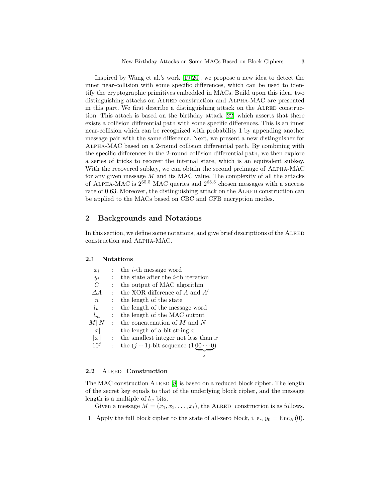Inspired by Wang et al.'s work [\[19](#page-21-9)[,20\]](#page-21-10), we propose a new idea to detect the inner near-collision with some specific differences, which can be used to identify the cryptographic primitives embedded in MACs. Build upon this idea, two distinguishing attacks on ALRED construction and ALPHA-MAC are presented in this part. We first describe a distinguishing attack on the Alred construction. This attack is based on the birthday attack [\[22\]](#page-21-12) which asserts that there exists a collision differential path with some specific differences. This is an inner near-collision which can be recognized with probability 1 by appending another message pair with the same difference. Next, we present a new distinguisher for Alpha-MAC based on a 2-round collision differential path. By combining with the specific differences in the 2-round collision differential path, we then explore a series of tricks to recover the internal state, which is an equivalent subkey. With the recovered subkey, we can obtain the second preimage of Alpha-MAC for any given message  $M$  and its MAC value. The complexity of all the attacks of ALPHA-MAC is  $2^{65.5}$  MAC queries and  $2^{65.5}$  chosen messages with a success rate of 0.63. Moreover, the distinguishing attack on the ALRED construction can be applied to the MACs based on CBC and CFB encryption modes.

### 2 Backgrounds and Notations

In this section, we define some notations, and give brief descriptions of the ALRED construction and Alpha-MAC.

#### 2.1 Notations

| $x_i$               |                | the <i>i</i> -th message word                |
|---------------------|----------------|----------------------------------------------|
| $y_i$               |                | the state after the <i>i</i> -th iteration   |
| $\overline{C}$      |                | the output of MAC algorithm                  |
| $\triangle A$       |                | the XOR difference of $A$ and $A'$           |
| $\boldsymbol{n}$    |                | the length of the state                      |
| $l_w$               |                | the length of the message word               |
| $l_m$               |                | the length of the MAC output                 |
| M  N                | $\ddot{\cdot}$ | the concatenation of $M$ and $N$             |
| x                   |                | the length of a bit string $x$               |
| $\lfloor x \rfloor$ | $\ddot{\cdot}$ | the smallest integer not less than $x$       |
| 10 <sup>j</sup>     |                | the $(j + 1)$ -bit sequence $(100 \cdots 0)$ |
|                     |                |                                              |

#### 2.2 ALRED Construction

The MAC construction ALRED [\[8\]](#page-21-3) is based on a reduced block cipher. The length of the secret key equals to that of the underlying block cipher, and the message length is a multiple of  $l_w$  bits.

Given a message  $M = (x_1, x_2, \ldots, x_t)$ , the ALRED construction is as follows.

1. Apply the full block cipher to the state of all-zero block, i. e.,  $y_0 = \text{Enc}_K(0)$ .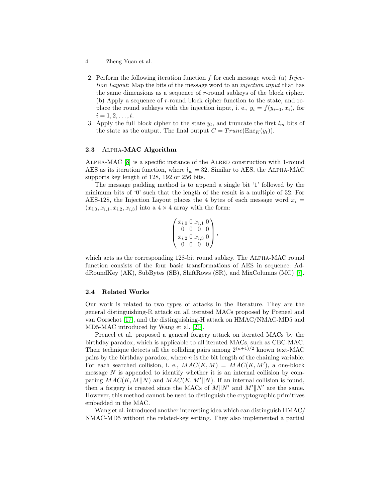- 4 Zheng Yuan et al.
- 2. Perform the following iteration function f for each message word: (a) Injection Layout: Map the bits of the message word to an *injection input* that has the same dimensions as a sequence of r-round subkeys of the block cipher. (b) Apply a sequence of r-round block cipher function to the state, and replace the round subkeys with the injection input, i. e.,  $y_i = f(y_{i-1}, x_i)$ , for  $i = 1, 2, \ldots, t.$
- 3. Apply the full block cipher to the state  $y_t$ , and truncate the first  $l_m$  bits of the state as the output. The final output  $C = Trunc(\text{Enc}_K(y_t)).$

#### 2.3 Alpha-MAC Algorithm

Alpha-MAC [\[8\]](#page-21-3) is a specific instance of the Alred construction with 1-round AES as its iteration function, where  $l_w = 32$ . Similar to AES, the ALPHA-MAC supports key length of 128, 192 or 256 bits.

The message padding method is to append a single bit '1' followed by the minimum bits of '0' such that the length of the result is a multiple of 32. For AES-128, the Injection Layout places the 4 bytes of each message word  $x_i =$  $(x_{i,0}, x_{i,1}, x_{i,2}, x_{i,3})$  into a  $4 \times 4$  array with the form:

$$
\begin{pmatrix} x_{i,0} & 0 & x_{i,1} & 0 \\ 0 & 0 & 0 & 0 \\ x_{i,2} & 0 & x_{i,3} & 0 \\ 0 & 0 & 0 & 0 \end{pmatrix},
$$

which acts as the corresponding 128-bit round subkey. The ALPHA-MAC round function consists of the four basic transformations of AES in sequence: AddRoundKey (AK), SubBytes (SB), ShiftRows (SR), and MixColumns (MC) [\[7\]](#page-21-4).

#### 2.4 Related Works

Our work is related to two types of attacks in the literature. They are the general distinguishing-R attack on all iterated MACs proposed by Preneel and van Oorschot [\[17\]](#page-21-7), and the distinguishing-H attack on HMAC/NMAC-MD5 and MD5-MAC introduced by Wang et al. [\[20\]](#page-21-10).

Preneel et al. proposed a general forgery attack on iterated MACs by the birthday paradox, which is applicable to all iterated MACs, such as CBC-MAC. Their technique detects all the colliding pairs among  $2^{(n+1)/2}$  known text-MAC pairs by the birthday paradox, where  $n$  is the bit length of the chaining variable. For each searched collision, i. e.,  $MAC(K, M) = MAC(K, M')$ , a one-block message  $N$  is appended to identify whether it is an internal collision by comparing  $MAC(K, M||N)$  and  $MAC(K, M'||N)$ . If an internal collision is found, then a forgery is created since the MACs of  $M||N'$  and  $M'||N'$  are the same. However, this method cannot be used to distinguish the cryptographic primitives embedded in the MAC.

Wang et al. introduced another interesting idea which can distinguish HMAC/ NMAC-MD5 without the related-key setting. They also implemented a partial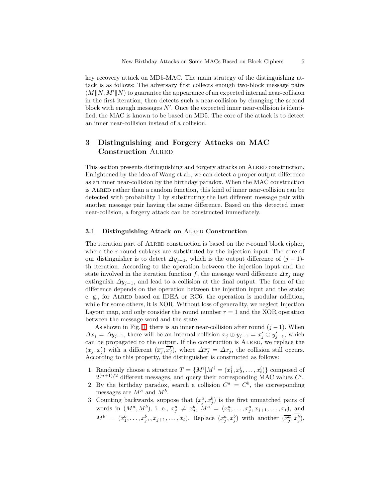key recovery attack on MD5-MAC. The main strategy of the distinguishing attack is as follows: The adversary first collects enough two-block message pairs  $(M||N, M'||N)$  to guarantee the appearance of an expected internal near-collision in the first iteration, then detects such a near-collision by changing the second block with enough messages  $N'$ . Once the expected inner near-collision is identified, the MAC is known to be based on MD5. The core of the attack is to detect an inner near-collision instead of a collision.

## 3 Distinguishing and Forgery Attacks on MAC Construction Alred

This section presents distinguishing and forgery attacks on Alred construction. Enlightened by the idea of Wang et al., we can detect a proper output difference as an inner near-collision by the birthday paradox. When the MAC construction is Alred rather than a random function, this kind of inner near-collision can be detected with probability 1 by substituting the last different message pair with another message pair having the same difference. Based on this detected inner near-collision, a forgery attack can be constructed immediately.

#### 3.1 Distinguishing Attack on ALRED Construction

The iteration part of ALRED construction is based on the *r*-round block cipher, where the r-round subkeys are substituted by the injection input. The core of our distinguisher is to detect  $\Delta y_{j-1}$ , which is the output difference of  $(j-1)$ th iteration. According to the operation between the injection input and the state involved in the iteration function f, the message word difference  $\Delta x_j$  may extinguish  $\Delta y_{j-1}$ , and lead to a collision at the final output. The form of the difference depends on the operation between the injection input and the state; e. g., for ALRED based on IDEA or RC6, the operation is modular addition, while for some others, it is XOR. Without loss of generality, we neglect Injection Layout map, and only consider the round number  $r = 1$  and the XOR operation between the message word and the state.

As shown in Fig. [1,](#page-5-0) there is an inner near-collision after round  $(j-1)$ . When  $\Delta x_j = \Delta y_{j-1}$ , there will be an internal collision  $x_j \oplus y_{j-1} = x'_j \oplus y'_{j-1}$ , which can be propagated to the output. If the construction is ALRED, we replace the  $(x_j, x'_j)$  with a different  $(\overline{x_j}, \overline{x'_j})$ , where  $\Delta \overline{x_j} = \Delta x_j$ , the collision still occurs. According to this property, the distinguisher is constructed as follows:

- 1. Randomly choose a structure  $T = \{M^i | M^i = (x_1^i, x_2^i, \dots, x_t^i)\}\)$  composed of  $2^{(n+1)/2}$  different messages, and query their corresponding MAC values  $C^i$ .
- 2. By the birthday paradox, search a collision  $C^a = C^b$ , the corresponding messages are  $M^a$  and  $M^b$ .
- 3. Counting backwards, suppose that  $(x_j^a, x_j^b)$  is the first unmatched pairs of words in  $(M^a, M^b)$ , i. e.,  $x_j^a \neq x_j^b$ ,  $M^a = (x_1^a, \ldots, x_j^a, x_{j+1}, \ldots, x_t)$ , and  $M^b = (x_1^b, \ldots, x_j^b, x_{j+1}, \ldots, x_t)$ . Replace  $(x_j^a, x_j^b)$  with another  $(\overline{x_j^a}, x_j^b)$ ,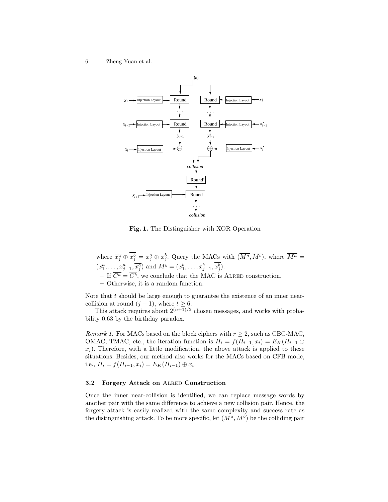6 Zheng Yuan et al.



Fig. 1. The Distinguisher with XOR Operation

<span id="page-5-0"></span>where  $\overline{x_j^a} \oplus x_j^b = x_j^a \oplus x_j^b$ . Query the MACs with  $(\overline{M^a}, \overline{M^b})$ , where  $\overline{M^a} =$  $(x_1^a, \ldots, x_{j-1}^a, \overline{x_j^a})$  and  $\overline{M^b} = (x_1^b, \ldots, x_{j-1}^b, x_j^b)$ . – If  $\overline{C^a} = \overline{C^b}$ , we conclude that the MAC is ALRED construction.

– Otherwise, it is a random function.

Note that  $t$  should be large enough to guarantee the existence of an inner nearcollision at round  $(j-1)$ , where  $t \geq 6$ .

This attack requires about  $2^{(n+1)/2}$  chosen messages, and works with probability 0.63 by the birthday paradox.

Remark 1. For MACs based on the block ciphers with  $r \geq 2$ , such as CBC-MAC, OMAC, TMAC, etc., the iteration function is  $H_i = f(H_{i-1}, x_i) = E_K(H_{i-1} \oplus$  $x_i$ ). Therefore, with a little modification, the above attack is applied to these situations. Besides, our method also works for the MACs based on CFB mode, i.e.,  $H_i = f(H_{i-1}, x_i) = E_K(H_{i-1}) \oplus x_i$ .

#### 3.2 Forgery Attack on ALRED Construction

Once the inner near-collision is identified, we can replace message words by another pair with the same difference to achieve a new collision pair. Hence, the forgery attack is easily realized with the same complexity and success rate as the distinguishing attack. To be more specific, let  $(M^a, M^b)$  be the colliding pair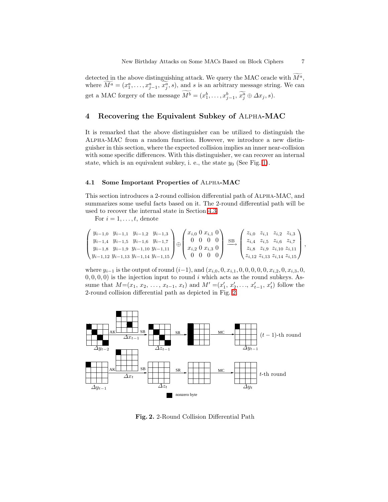detected in the above distinguishing attack. We query the MAC oracle with  $M^a$ , where  $\widetilde{M}^a = (x_1^a, \ldots, x_{j-1}^a, \widetilde{x}_j^a, s)$ , and s is an arbitrary message string. We can get a MAC forgery of the message  $M^b = (x_1^b, \ldots, x_{j-1}^b, x_j^a \oplus \Delta x_j, s)$ .

## 4 Recovering the Equivalent Subkey of Alpha-MAC

It is remarked that the above distinguisher can be utilized to distinguish the Alpha-MAC from a random function. However, we introduce a new distinguisher in this section, where the expected collision implies an inner near-collision with some specific differences. With this distinguisher, we can recover an internal state, which is an equivalent subkey, i. e., the state  $y_0$  (See Fig. [1\)](#page-5-0).

#### 4.1 Some Important Properties of Alpha-MAC

This section introduces a 2-round collision differential path of Alpha-MAC, and summarizes some useful facts based on it. The 2-round differential path will be used to recover the internal state in Section [4.3.](#page-9-0)

For  $i = 1, \ldots, t$ , denote

$$
\begin{pmatrix} y_{i-1,0} & y_{i-1,1} & y_{i-1,2} & y_{i-1,3} \\ y_{i-1,4} & y_{i-1,5} & y_{i-1,6} & y_{i-1,7} \\ y_{i-1,8} & y_{i-1,9} & y_{i-1,10} & y_{i-1,11} \\ y_{i-1,12} & y_{i-1,13} & y_{i-1,14} & y_{i-1,15} \end{pmatrix} \oplus \begin{pmatrix} x_{i,0} & 0 & x_{i,1} & 0 \\ 0 & 0 & 0 & 0 \\ x_{i,2} & 0 & x_{i,3} & 0 \\ 0 & 0 & 0 & 0 \end{pmatrix} \xrightarrow{\text{SB}} \begin{pmatrix} z_{i,0} & z_{i,1} & z_{i,2} & z_{i,3} \\ z_{i,4} & z_{i,5} & z_{i,6} & z_{i,7} \\ z_{i,8} & z_{i,9} & z_{i,10} & z_{i,11} \\ z_{i,12} & z_{i,13} & z_{i,14} & z_{i,15} \end{pmatrix},
$$

where  $y_{i-1}$  is the output of round  $(i-1)$ , and  $(x_{i,0}, 0, x_{i,1}, 0, 0, 0, 0, 0, x_{i,2}, 0, x_{i,3}, 0,$  $(0, 0, 0, 0)$  is the injection input to round i which acts as the round subkeys. Assume that  $M=(x_1, x_2, \ldots, x_{t-1}, x_t)$  and  $M'=(x'_1, x'_2, \ldots, x'_{t-1}, x'_t)$  follow the 2-round collision differential path as depicted in Fig. [2.](#page-6-0)



<span id="page-6-0"></span>Fig. 2. 2-Round Collision Differential Path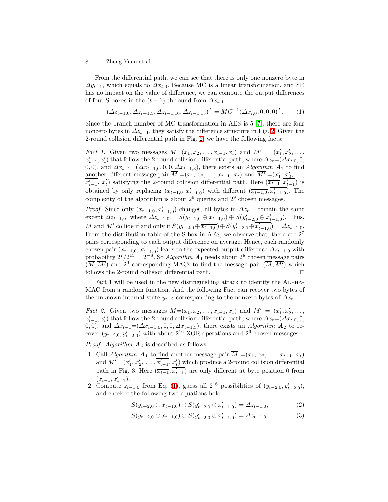From the differential path, we can see that there is only one nonzero byte in  $\Delta y_{t-1}$ , which equals to  $\Delta x_{t,0}$ . Because MC is a linear transformation, and SR has no impact on the value of difference, we can compute the output differences of four S-boxes in the  $(t-1)$ -th round from  $\Delta x_{t,0}$ :

$$
(\Delta z_{t-1,0}, \Delta z_{t-1,5}, \Delta z_{t-1,10}, \Delta z_{t-1,15})^T = MC^{-1}(\Delta x_{t,0}, 0, 0, 0)^T.
$$
 (1)

<span id="page-7-0"></span>Since the branch number of MC transformation in AES is 5 [\[7\]](#page-21-4), there are four nonzero bytes in  $\Delta z_{t-1}$ , they satisfy the difference structure in Fig. [2.](#page-6-0) Given the 2-round collision differential path in Fig. [2,](#page-6-0) we have the following facts:

*Fact 1.* Given two messages  $M=(x_1, x_2, \ldots, x_{t-1}, x_t)$  and  $M' = (x'_1, x'_2, \ldots, x_t)$  $x'_{t-1}, x'_{t}$ ) that follow the 2-round collision differential path, where  $\Delta x_{t} = (\Delta x_{t,0}, 0, \Delta x_{t})$ 0,0), and  $\Delta x_{t-1}=(\Delta x_{t-1,0}, 0, 0, \Delta x_{t-1,3})$ , there exists an Algorithm  $\mathbf{A}_1$  to find another different message pair  $\overline{M} = (x_1, x_2, \ldots, \overline{x_{t-1}}, x_t)$  and  $\overline{M'} = (x'_1, x'_2, \ldots, x'_t)$  $\overline{x'_{t-1}}, x'_{t}$  satisfying the 2-round collision differential path. Here  $(\overline{x_{t-1}}, \overline{x'_{t-1}})$  is obtained by only replacing  $(x_{t-1,0}, x'_{t-1,0})$  with different  $(\overline{x_{t-1,0}}, \overline{x'_{t-1,0}})$ . The complexity of the algorithm is about  $2^9$  queries and  $2^9$  chosen messages.

*Proof.* Since only  $(x_{t-1,0}, x'_{t-1,0})$  changes, all bytes in  $\Delta z_{t-1}$  remain the same except  $\Delta z_{t-1,0}$ , where  $\Delta z_{t-1,0} = S(y_{t-2,0} \oplus x_{t-1,0}) \oplus S(y'_{t-2,0} \oplus x'_{t-1,0})$ . Thus, M and M' collide if and only if  $S(y_{t-2,0} \oplus \overline{x_{t-1,0}}) \oplus S(y'_{t-2,0} \oplus \overline{x'_{t-1,0}}) = \Delta z_{t-1,0}$ . From the distribution table of the S-box in AES, we observe that, there are  $2<sup>7</sup>$ pairs corresponding to each output difference on average. Hence, each randomly chosen pair  $(x_{t-1,0}, x'_{t-1,0})$  leads to the expected output difference  $\Delta z_{t-1,0}$  with probability  $2^7/2^{15} = 2^{-8}$ . So Algorithm  $\mathbf{A}_1$  needs about  $2^8$  chosen message pairs  $(\overline{M}, \overline{M'})$  and  $2^9$  corresponding MACs to find the message pair  $(\overline{M}, \overline{M'})$  which follows the 2-round collision differential path. ⊓⊔

Fact 1 will be used in the new distinguishing attack to identify the ALPHA-MAC from a random function. And the following Fact can recover two bytes of the unknown internal state  $y_{t-2}$  corresponding to the nonzero bytes of  $\Delta x_{t-1}$ .

*Fact 2.* Given two messages  $M=(x_1, x_2, \ldots, x_{t-1}, x_t)$  and  $M' = (x'_1, x'_2, \ldots, x_t)$  $x'_{t-1}, x'_{t}$ ) that follow the 2-round collision differential path, where  $\Delta x_{t}$ =( $\Delta x_{t,0}$ , 0, 0, 0), and  $\Delta x_{t-1}=(\Delta x_{t-1,0}, 0, 0, \Delta x_{t-1,3})$ , there exists an *Algorithm*  $\mathbf{A}_2$  to recover  $(y_{t-2,0}, y'_{t-2,0})$  with about  $2^{16}$  XOR operations and  $2^9$  chosen messages.

*Proof. Algorithm*  $A_2$  is described as follows.

- 1. Call Algorithm  $A_1$  to find another message pair  $\overline{M} = (x_1, x_2, \ldots, \overline{x_{t-1}}, x_t)$ and  $\overline{M'} = (x'_1, x'_2, \ldots, \overline{x'_{t-1}}, x'_t)$  which produce a 2-round collision differential path in Fig. 3. Here  $(\overline{x_{t-1}}, \overline{x'_{t-1}})$  are only different at byte position 0 from  $(x_{t-1}, x'_{t-1}).$
- <span id="page-7-1"></span>2. Compute  $z_{t-1,0}$  from Eq. [\(1\)](#page-7-0), guess all 2<sup>16</sup> possibilities of  $(y_{t-2,0}, y'_{t-2,0})$ , and check if the following two equations hold.

$$
S(y_{t-2,0} \oplus x_{t-1,0}) \oplus S(y'_{t-2,0} \oplus x'_{t-1,0}) = \Delta z_{t-1,0},\tag{2}
$$

$$
S(y_{t-2,0} \oplus \overline{x_{t-1,0}}) \oplus S(y'_{t-2,0} \oplus \overline{x'_{t-1,0}}) = \Delta z_{t-1,0}.\tag{3}
$$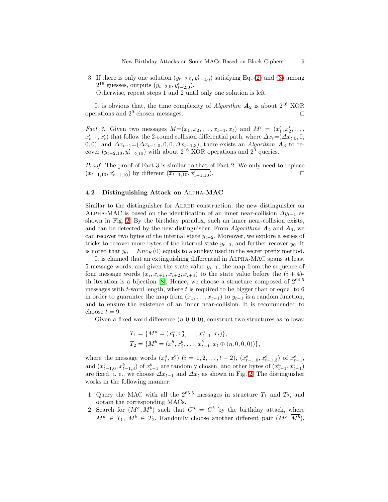3. If there is only one solution  $(y_{t-2,0}, y'_{t-2,0})$  satisfying Eq. [\(2\)](#page-7-1) and [\(3\)](#page-7-1) among  $2^{16}$  guesses, outputs  $(y_{t-2,0}, y'_{t-2,0}).$ Otherwise, repeat steps 1 and 2 until only one solution is left.

It is obvious that, the time complexity of Algorithm  $A_2$  is about  $2^{16}$  XOR operations and  $2^9$  chosen messages.  $□$ 

*Fact 3.* Given two messages  $M=(x_1, x_2, \ldots, x_{t-1}, x_t)$  and  $M' = (x'_1, x'_2, \ldots, x_t)$  $x'_{t-1}, x'_{t}$ ) that follow the 2-round collision differential path, where  $\Delta x_{t} = (\Delta x_{t,0}, 0, \Delta x_{t})$ 0,0), and  $\Delta x_{t-1}=(\Delta x_{t-1,0}, 0, 0, \Delta x_{t-1,3})$ , there exists an Algorithm  $\mathbf{A}_3$  to recover  $(y_{t-2,10}, y'_{t-2,10})$  with about 2<sup>16</sup> XOR operations and 2<sup>9</sup> queries.

Proof. The proof of Fact 3 is similar to that of Fact 2. We only need to replace  $(x_{t-1,10}, x'_{t-1,10})$  by different  $(\overline{x_{t-1,10}}, \overline{x'_{t-1,10}})$ . □

#### 4.2 Distinguishing Attack on Alpha-MAC

Similar to the distinguisher for ALRED construction, the new distinguisher on ALPHA-MAC is based on the identification of an inner near-collision  $\Delta y_{t-1}$  as shown in Fig. [2.](#page-6-0) By the birthday paradox, such an inner near-collision exists, and can be detected by the new distinguisher. From Algorithms  $\mathbf{A}_2$  and  $\mathbf{A}_3$ , we can recover two bytes of the internal state  $y_{t-2}$ . Moreover, we explore a series of tricks to recover more bytes of the internal state  $y_{t-3}$ , and further recover  $y_0$ . It is noted that  $y_0 = Enc_K(0)$  equals to a subkey used in the secret prefix method.

It is claimed that an extinguishing differential in Alpha-MAC spans at least 5 message words, and given the state value  $y_{i-1}$ , the map from the sequence of four message words  $(x_i, x_{i+1}, x_{i+2}, x_{i+3})$  to the state value before the  $(i + 4)$ th iteration is a bijection  $[8]$ . Hence, we choose a structure composed of  $2^{64.5}$ messages with  $t$ -word length, where  $t$  is required to be bigger than or equal to 6 in order to guarantee the map from  $(x_1, \ldots, x_{t-1})$  to  $y_{t-1}$  is a random function, and to ensure the existence of an inner near-collision. It is recommended to choose  $t = 9$ .

Given a fixed word difference  $(\eta, 0, 0, 0)$ , construct two structures as follows:

$$
T_1 = \{M^a = (x_1^a, x_2^a, \dots, x_{t-1}^a, x_t)\},
$$
  
\n
$$
T_2 = \{M^b = (x_1^b, x_2^b, \dots, x_{t-1}^b, x_t \oplus (\eta, 0, 0, 0))\},
$$

where the message words  $(x_i^a, x_i^b)$   $(i = 1, 2, ..., t - 2), (x_{t-1,0}^a, x_{t-1,3}^a)$  of  $x_{t-1}^a$ , and  $(x_{t-1,0}^b, x_{t-1,3}^b)$  of  $x_{t-1}^b$  are randomly chosen, and other bytes of  $(x_{t-1}^a, x_{t-1}^b)$ are fixed, i. e., we choose  $\Delta x_{t-1}$  and  $\Delta x_t$  as shown in Fig. [2.](#page-6-0) The distinguisher works in the following manner:

- 1. Query the MAC with all the  $2^{65.5}$  messages in structure  $T_1$  and  $T_2$ , and obtain the corresponding MACs.
- 2. Search for  $(M^a, M^b)$  such that  $C^a = C^b$  by the birthday attack, where  $M^a \in T_1$ ,  $M^b \in T_2$ . Randomly choose another different pair  $(\overline{M^a}, \overline{M^b})$ ,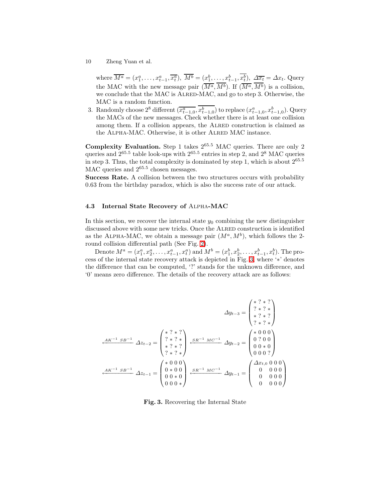where  $\overline{M^a} = (x_1^a, \ldots, x_{t-1}^a, \overline{x_t^a}), \ \overline{M^b} = (x_1^b, \ldots, x_{t-1}^b, x_t^b), \ \Delta \overline{x_t} = \Delta x_t.$  Query the MAC with the new message pair  $(\overline{M^a}, \overline{M^b})$ . If  $(\overline{M^a}, \overline{M^b})$  is a collision, we conclude that the MAC is ALRED-MAC, and go to step 3. Otherwise, the MAC is a random function.

3. Randomly choose  $2^8$  different  $(\overline{x_{t-1,0}^a}, x_{t-1,0}^b)$  to replace  $(x_{t-1,0}^a, x_{t-1,0}^b)$ . Query the MACs of the new messages. Check whether there is at least one collision among them. If a collision appears, the Alred construction is claimed as the ALPHA-MAC. Otherwise, it is other ALRED MAC instance.

**Complexity Evaluation.** Step 1 takes  $2^{65.5}$  MAC queries. There are only 2 queries and  $2^{65.5}$  table look-ups with  $2^{65.5}$  entries in step 2, and  $2^8$  MAC queries in step 3. Thus, the total complexity is dominated by step 1, which is about  $2^{65.5}$ MAC queries and  $2^{65.5}$  chosen messages.

Success Rate. A collision between the two structures occurs with probability 0.63 from the birthday paradox, which is also the success rate of our attack.

#### <span id="page-9-0"></span>4.3 Internal State Recovery of Alpha-MAC

In this section, we recover the internal state  $y_0$  combining the new distinguisher discussed above with some new tricks. Once the Alred construction is identified as the ALPHA-MAC, we obtain a message pair  $(M^a, M^b)$ , which follows the 2round collision differential path (See Fig. [2\)](#page-6-0).

Denote  $M^a = (x_1^a, x_2^a, \dots, x_{t-1}^a, x_t^a)$  and  $M^b = (x_1^b, x_2^b, \dots, x_{t-1}^b, x_t^b)$ . The process of the internal state recovery attack is depicted in Fig. [3,](#page-9-1) where '∗' denotes the difference that can be computed, '?' stands for the unknown difference, and '0' means zero difference. The details of the recovery attack are as follows:

$$
\Delta y_{t-3} = \begin{pmatrix} * & 2 & * & ? \\ ? & * & ? & * \\ * & ? & * & ? \\ ? & * & ? & * \end{pmatrix}
$$

$$
\frac{AK^{-1} \, SB^{-1}}{2 \, x_{t-2}} = \begin{pmatrix} * & 2 & * & ? \\ ? & * & ? & * \\ ? & * & ? & * \\ * & ? & * & ? \end{pmatrix} \xrightarrow{\text{SE}^{-1} \, MC^{-1}} \Delta y_{t-2} = \begin{pmatrix} * & 0 & 0 & 0 \\ 0 & ? & 0 & 0 \\ 0 & 0 & * & 0 \\ 0 & 0 & 0 & ? \end{pmatrix}
$$

$$
\xrightarrow{\text{AK}^{-1} \, SB^{-1}} \Delta z_{t-1} = \begin{pmatrix} * & 0 & 0 & 0 \\ 0 & 0 & 0 & 0 \\ 0 & 0 & * & 0 \\ 0 & 0 & 0 & * \end{pmatrix} \xrightarrow{\text{SE}^{-1} \, MC^{-1}} \Delta y_{t-1} = \begin{pmatrix} \Delta x_{t,0} & 0 & 0 & 0 \\ 0 & 0 & 0 & 0 \\ 0 & 0 & 0 & 0 \\ 0 & 0 & 0 & 0 \end{pmatrix}
$$

<span id="page-9-1"></span>Fig. 3. Recovering the Internal State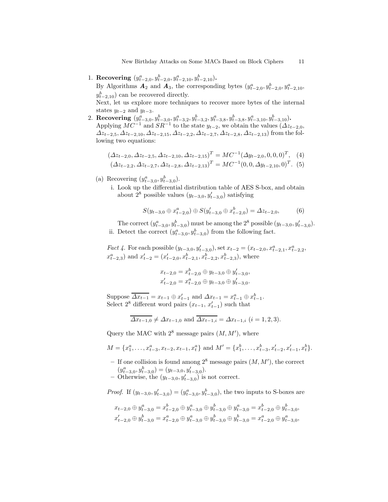New Birthday Attacks on Some MACs Based on Block Ciphers 11

1. Recovering  $(y_{t-2,0}^a, y_{t-2,0}^b, y_{t-2,10}^a, y_{t-2,10}^b)$ .

By Algorithms  $\mathbf{A}_2$  and  $\mathbf{A}_3$ , the corresponding bytes  $(y_{t-2,0}^a, y_{t-2,0}^b, y_{t-2,10}^a,$  $y_{t-2,10}^b$  can be recovered directly.

Next, let us explore more techniques to recover more bytes of the internal states  $y_{t-2}$  and  $y_{t-3}$ .

2. Recovering  $(y_{t-3,0}^a, y_{t-3,0}^b, y_{t-3,2}^a, y_{t-3,2}^b, y_{t-3,8}^a, y_{t-3,8}^b, y_{t-3,10}^a, y_{t-3,10}^b)$ . Applying  $MC^{-1}$  and  $SR^{-1}$  to the state  $y_{t-2}$ , we obtain the values  $(\Delta z_{t-2,0},$  $\Delta z_{t-2,5}, \Delta z_{t-2,10}, \Delta z_{t-2,15}, \Delta z_{t-2,2}, \Delta z_{t-2,7}, \Delta z_{t-2,8}, \Delta z_{t-2,13}$  from the following two equations:

$$
(\Delta z_{t-2,0}, \Delta z_{t-2,5}, \Delta z_{t-2,10}, \Delta z_{t-2,15})^T = MC^{-1}(\Delta y_{t-2,0}, 0, 0, 0)^T, (4)
$$
  

$$
(\Delta z_{t-2,2}, \Delta z_{t-2,7}, \Delta z_{t-2,8}, \Delta z_{t-2,13})^T = MC^{-1}(0, 0, \Delta y_{t-2,10}, 0)^T. (5)
$$

- (a) Recovering  $(y_{t-3,0}^a, y_{t-3,0}^b)$ .
	- i. Look up the differential distribution table of AES S-box, and obtain about 2<sup>8</sup> possible values  $(y_{t-3,0}, y'_{t-3,0})$  satisfying

$$
S(y_{t-3,0} \oplus x_{t-2,0}^a) \oplus S(y_{t-3,0}^{\prime} \oplus x_{t-2,0}^b) = \Delta z_{t-2,0},
$$
 (6)

<span id="page-10-0"></span>The correct  $(y_{t-3,0}^a, y_{t-3,0}^b)$  must be among the 2<sup>8</sup> possible  $(y_{t-3,0}, y_{t-3,0}^l)$ . ii. Detect the correct  $(y_{t-3,0}^a, y_{t-3,0}^b)$  from the following fact.

*Fact 4*. For each possible  $(y_{t-3,0}, y'_{t-3,0})$ , set  $x_{t-2} = (x_{t-2,0}, x^a_{t-2,1}, x^a_{t-2,2},$  $x_{t-2,3}^a$ ) and  $x_{t-2}^{\prime} = (x_{t-2,0}^{\prime}, x_{t-2,1}^b, x_{t-2,2}^b, x_{t-2,3}^b)$ , where

$$
x_{t-2,0} = x_{t-2,0}^b \oplus y_{t-3,0} \oplus y'_{t-3,0},
$$
  

$$
x'_{t-2,0} = x_{t-2,0}^a \oplus y_{t-3,0} \oplus y'_{t-3,0}.
$$

Suppose  $\overline{\Delta x_{t-1}} = x_{t-1} \oplus x'_{t-1}$  and  $\Delta x_{t-1} = x_{t-1}^a \oplus x_{t-1}^b$ . Select  $2^8$  different word pairs  $(x_{t-1}, x'_{t-1})$  such that

$$
\overline{\Delta x_{t-1,0}} \neq \Delta x_{t-1,0}
$$
 and  $\overline{\Delta x_{t-1,i}} = \Delta x_{t-1,i}$   $(i = 1, 2, 3)$ .

Query the MAC with  $2^8$  message pairs  $(M, M')$ , where

$$
M = \{x_1^a, \dots, x_{t-3}^a, x_{t-2}, x_{t-1}, x_t^a\} \text{ and } M' = \{x_1^b, \dots, x_{t-3}^b, x_{t-2}', x_{t-1}', x_t^b\}.
$$

- If one collision is found among  $2^8$  message pairs  $(M, M')$ , the correct  $(y_{t-3,0}^a, y_{t-3,0}^b) = (y_{t-3,0}, y_{t-3,0}^{\prime}).$
- − Otherwise, the  $(y_{t-3,0}, y'_{t-3,0})$  is not correct.

*Proof.* If  $(y_{t-3,0}, y_{t-3,0}') = (y_{t-3,0}^a, y_{t-3,0}^b)$ , the two inputs to S-boxes are

$$
x_{t-2,0} \oplus y_{t-3,0}^a = x_{t-2,0}^b \oplus y_{t-3,0}^a \oplus y_{t-3,0}^b \oplus y_{t-3,0}^a = x_{t-2,0}^b \oplus y_{t-3,0}^b,
$$
  

$$
x_{t-2,0}' \oplus y_{t-3,0}^b = x_{t-2,0}^a \oplus y_{t-3,0}^a \oplus y_{t-3,0}^b \oplus y_{t-3,0}^b = x_{t-2,0}^a \oplus y_{t-3,0}^a,
$$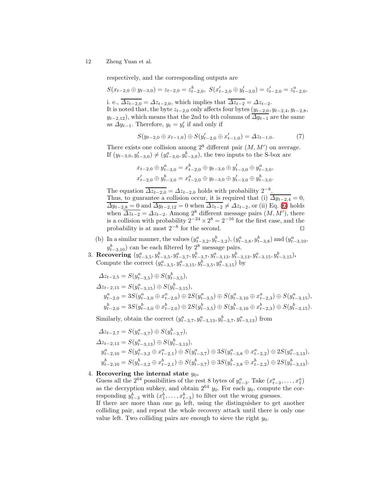respectively, and the corresponding outputs are

$$
S(x_{t-2,0} \oplus y_{t-3,0}) = z_{t-2,0} = z_{t-2,0}^b, \ S(x'_{t-2,0} \oplus y'_{t-3,0}) = z'_{t-2,0} = z_{t-2,0}^a,
$$

i. e.,  $\overline{\Delta z_{t-2,0}} = \Delta z_{t-2,0}$ , which implies that  $\overline{\Delta z_{t-2}} = \Delta z_{t-2}$ .

It is noted that, the byte  $z_{t-2,0}$  only affects four bytes  $(y_{t-2,0}, y_{t-2,4}, y_{t-2,8},$  $y_{t-2,12}$ , which means that the 2nd to 4th columns of  $\overline{\Delta y_{t-1}}$  are the same as  $\Delta y_{t-1}$ . Therefore,  $y_t = y'_t$  if and only if

$$
S(y_{t-2,0} \oplus x_{t-1,0}) \oplus S(y'_{t-2,0} \oplus x'_{t-1,0}) = \Delta z_{t-1,0}.\tag{7}
$$

There exists one collision among  $2^8$  different pair  $(M, M')$  on average. If  $(y_{t-3,0}, y_{t-3,0}') \neq (y_{t-3,0}^a, y_{t-3,0}^b)$ , the two inputs to the S-box are

$$
x_{t-2,0} \oplus y_{t-3,0}^a = x_{t-2,0}^b \oplus y_{t-3,0} \oplus y_{t-3,0}' \oplus y_{t-3,0}^a,
$$
  

$$
x_{t-2,0}' \oplus y_{t-3,0}^b = x_{t-2,0}^a \oplus y_{t-3,0} \oplus y_{t-3,0}' \oplus y_{t-3,0}^b.
$$

The equation  $\overline{\Delta z_{t-2,0}} = \Delta z_{t-2,0}$  holds with probability  $2^{-8}$ . Thus, to guarantee a collision occur, it is required that (i)  $\Delta y_{t-2,4} = 0$ ,  $\overline{\Delta y_{t-2,8}} = 0$  and  $\overline{\Delta y_{t-2,12}} = 0$  when  $\overline{\Delta z_{t-2}} \neq \Delta z_{t-2}$ , or (ii) Eq. [\(6\)](#page-10-0) holds when  $\overline{\Delta z_{t-2}} = \Delta z_{t-2}$ . Among 2<sup>8</sup> different message pairs  $(M, M')$ , there is a collision with probability  $2^{-24} \times 2^8 = 2^{-16}$  for the first case, and the probability is at most  $2^{-8}$  for the second. □

- (b) In a similar manner, the values  $(y_{t-3,2}^a, y_{t-3,2}^b), (y_{t-3,8}^a, y_{t-3,8}^b)$  and  $(y_{t-3,10}^a,$  $y_{t-3,10}^b$  can be each filtered by 2<sup>8</sup> message pairs.
- 3. Recovering  $(y_{t-3,5}^a, y_{t-3,5}^b, y_{t-3,7}^a, y_{t-3,7}^b, y_{t-3,13}^a, y_{t-3,13}^b, y_{t-3,15}^a, y_{t-3,15}^b)$ . Compute the correct  $(y_{t-3,5}^a, y_{t-3,15}^a, y_{t-3,5}^b, y_{t-3,15}^a)$  by

$$
\Delta z_{t-2,5} = S(y_{t-3,5}^a) \oplus S(y_{t-3,5}^b),
$$
  
\n
$$
\Delta z_{t-2,15} = S(y_{t-3,15}^a) \oplus S(y_{t-3,15}^b),
$$
  
\n
$$
y_{t-2,0}^a = 3S(y_{t-3,0}^a \oplus x_{t-2,0}^a) \oplus 2S(y_{t-3,5}^a) \oplus S(y_{t-3,10}^a \oplus x_{t-2,3}^a) \oplus S(y_{t-3,15}^a),
$$
  
\n
$$
y_{t-2,0}^b = 3S(y_{t-3,0}^b \oplus x_{t-2,0}^b) \oplus 2S(y_{t-3,5}^b) \oplus S(y_{t-3,10}^b \oplus x_{t-2,3}^b) \oplus S(y_{t-3,15}^b).
$$

Similarly, obtain the correct  $(y_{t-3,7}^a, y_{t-3,13}^a, y_{t-3,7}^b, y_{t-3,13}^a)$  from

$$
\begin{split} \Delta z_{t-2,7} &= S(y_{t-3,7}^a) \oplus S(y_{t-3,7}^b),\\ \Delta z_{t-2,13} &= S(y_{t-3,13}^a) \oplus S(y_{t-3,13}^b),\\ y_{t-2,10}^a &= S(y_{t-3,2}^a \oplus x_{t-2,1}^a) \oplus S(y_{t-3,7}^a) \oplus 3S(y_{t-3,8}^a \oplus x_{t-2,2}^a) \oplus 2S(y_{t-3,13}^a),\\ y_{t-2,10}^b &= S(y_{t-3,2}^b \oplus x_{t-2,1}^b) \oplus S(y_{t-3,7}^b) \oplus 3S(y_{t-3,8}^b \oplus x_{t-2,2}^b) \oplus 2S(y_{t-3,13}^b). \end{split}
$$

### 4. Recovering the internal state  $y_0$ .

Guess all the 2<sup>64</sup> possibilities of the rest 8 bytes of  $y_{t-3}^a$ . Take  $(x_{t-3}^a, \ldots, x_1^a)$ as the decryption subkey, and obtain  $2^{64}$   $y_0$ . For each  $y_0$ , compute the corresponding  $y_{t-3}^b$  with  $(x_1^b, \ldots, x_{t-3}^b)$  to filter out the wrong guesses. If there are more than one  $y_0$  left, using the distinguisher to get another colliding pair, and repeat the whole recovery attack until there is only one value left. Two colliding pairs are enough to sieve the right  $y_0$ .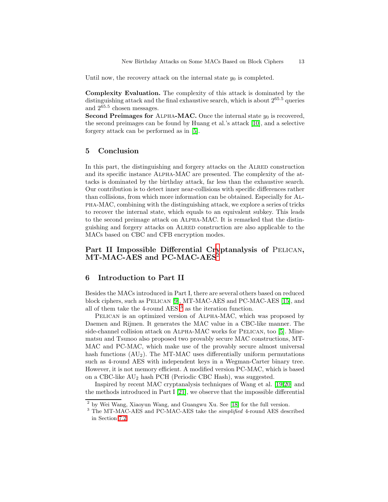Until now, the recovery attack on the internal state  $y_0$  is completed.

Complexity Evaluation. The complexity of this attack is dominated by the distinguishing attack and the final exhaustive search, which is about  $2^{65.5}$  queries and  $2^{65.5}$  chosen messages.

Second Preimages for ALPHA-MAC. Once the internal state  $y_0$  is recovered, the second preimages can be found by Huang et al.'s attack [\[10\]](#page-21-5), and a selective forgery attack can be performed as in [\[5\]](#page-21-6).

### 5 Conclusion

In this part, the distinguishing and forgery attacks on the ALRED construction and its specific instance Alpha-MAC are presented. The complexity of the attacks is dominated by the birthday attack, far less than the exhaustive search. Our contribution is to detect inner near-collisions with specific differences rather than collisions, from which more information can be obtained. Especially for Alpha-MAC, combining with the distinguishing attack, we explore a series of tricks to recover the internal state, which equals to an equivalent subkey. This leads to the second preimage attack on Alpha-MAC. It is remarked that the distinguishing and forgery attacks on Alred construction are also applicable to the MACs based on CBC and CFB encryption modes.

## Part II Impossible Differential Cr[y](#page-12-0)ptanalysis of PELICAN, MT-MAC-AES and PC-MAC-AES<sup>2</sup>

#### 6 Introduction to Part II

Besides the MACs introduced in Part I, there are several others based on reduced block ciphers, such as Pelican [\[9\]](#page-21-13), MT-MAC-AES and PC-MAC-AES [\[15\]](#page-21-14), and all of them take the 4-round AES  $^3$  $^3$  as the iteration function.

Pelican is an optimized version of Alpha-MAC, which was proposed by Daemen and Rijmen. It generates the MAC value in a CBC-like manner. The side-channel collision attack on ALPHA-MAC works for PELICAN, too [\[5\]](#page-21-6). Minematsu and Tsunoo also proposed two provably secure MAC constructions, MT-MAC and PC-MAC, which make use of the provably secure almost universal hash functions  $(AU_2)$ . The MT-MAC uses differentially uniform permutations such as 4-round AES with independent keys in a Wegman-Carter binary tree. However, it is not memory efficient. A modified version PC-MAC, which is based on a CBC-like AU<sup>2</sup> hash PCH (Periodic CBC Hash), was suggested.

Inspired by recent MAC cryptanalysis techniques of Wang et al. [\[19](#page-21-9)[,20\]](#page-21-10) and the methods introduced in Part I  $[21]$ , we observe that the impossible differential

<sup>&</sup>lt;sup>2</sup> by Wei Wang, Xiaoyun Wang, and Guangwu Xu. See [\[18\]](#page-21-15) for the full version.

<span id="page-12-1"></span><span id="page-12-0"></span><sup>&</sup>lt;sup>3</sup> The MT-MAC-AES and PC-MAC-AES take the *simplified* 4-round AES described in Section [7.2.](#page-14-0)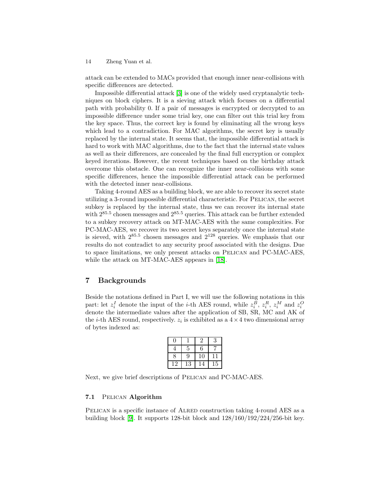attack can be extended to MACs provided that enough inner near-collisions with specific differences are detected.

Impossible differential attack [\[3\]](#page-21-16) is one of the widely used cryptanalytic techniques on block ciphers. It is a sieving attack which focuses on a differential path with probability 0. If a pair of messages is encrypted or decrypted to an impossible difference under some trial key, one can filter out this trial key from the key space. Thus, the correct key is found by eliminating all the wrong keys which lead to a contradiction. For MAC algorithms, the secret key is usually replaced by the internal state. It seems that, the impossible differential attack is hard to work with MAC algorithms, due to the fact that the internal state values as well as their differences, are concealed by the final full encryption or complex keyed iterations. However, the recent techniques based on the birthday attack overcome this obstacle. One can recognize the inner near-collisions with some specific differences, hence the impossible differential attack can be performed with the detected inner near-collisions.

Taking 4-round AES as a building block, we are able to recover its secret state utilizing a 3-round impossible differential characteristic. For Pelican, the secret subkey is replaced by the internal state, thus we can recover its internal state with  $2^{85.5}$  chosen messages and  $2^{85.5}$  queries. This attack can be further extended to a subkey recovery attack on MT-MAC-AES with the same complexities. For PC-MAC-AES, we recover its two secret keys separately once the internal state is sieved, with  $2^{85.5}$  chosen messages and  $2^{128}$  queries. We emphasis that our results do not contradict to any security proof associated with the designs. Due to space limitations, we only present attacks on Pelican and PC-MAC-AES, while the attack on MT-MAC-AES appears in [\[18\]](#page-21-15).

## 7 Backgrounds

Beside the notations defined in Part I, we will use the following notations in this part: let  $z_i^I$  denote the input of the *i*-th AES round, while  $z_i^B$ ,  $z_i^R$ ,  $z_i^M$  and  $z_i^O$ denote the intermediate values after the application of SB, SR, MC and AK of the *i*-th AES round, respectively.  $z_i$  is exhibited as a  $4 \times 4$  two dimensional array of bytes indexed as:

|    |             |    | 3  |
|----|-------------|----|----|
|    | 5           | 6  |    |
| 8  | 9           | 10 |    |
| 12 | $^{\rm 13}$ | 4  | 15 |

Next, we give brief descriptions of PELICAN and PC-MAC-AES.

#### 7.1 Pelican Algorithm

PELICAN is a specific instance of ALRED construction taking 4-round AES as a building block [\[9\]](#page-21-13). It supports 128-bit block and 128/160/192/224/256-bit key.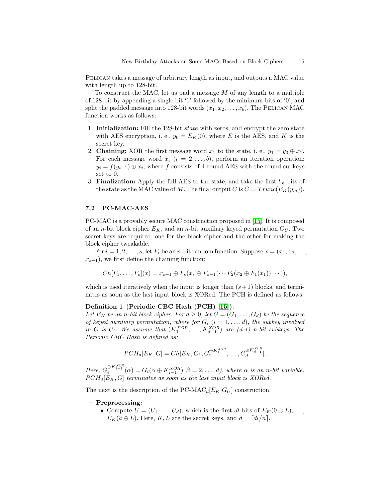Pelican takes a message of arbitrary length as input, and outputs a MAC value with length up to 128-bit.

To construct the MAC, let us pad a message  $M$  of any length to a multiple of 128-bit by appending a single bit '1' followed by the minimum bits of '0', and split the padded message into 128-bit words  $(x_1, x_2, \ldots, x_b)$ . The PELICAN MAC function works as follows:

- 1. Initialization: Fill the 128-bit *state* with zeros, and encrypt the zero state with AES encryption, i. e.,  $y_0 = E_K(0)$ , where E is the AES, and K is the secret key.
- 2. **Chaining:** XOR the first message word  $x_1$  to the state, i. e.,  $y_1 = y_0 \oplus x_1$ . For each message word  $x_i$   $(i = 2, \ldots, b)$ , perform an iteration operation:  $y_i = f(y_{i-1}) \oplus x_i$ , where f consists of 4-round AES with the round subkeys set to 0.
- 3. **Finalization:** Apply the full AES to the state, and take the first  $l_m$  bits of the state as the MAC value of M. The final output C is  $C = Trunc(E_K(y_m))$ .

#### <span id="page-14-0"></span>7.2 PC-MAC-AES

PC-MAC is a provably secure MAC construction proposed in [\[15\]](#page-21-14). It is composed of an *n*-bit block cipher  $E_K$ , and an *n*-bit auxiliary keyed permutation  $G_U$ . Two secret keys are required, one for the block cipher and the other for making the block cipher tweakable.

For  $i = 1, 2, \ldots, s$ , let  $F_i$  be an *n*-bit random function. Suppose  $x = (x_1, x_2, \ldots, x_s)$  $x_{s+1}$ , we first define the chaining function:

$$
Ch[F_1, \ldots, F_s](x) = x_{s+1} \oplus F_s(x_s \oplus F_{s-1}(\cdots F_2(x_2 \oplus F_1(x_1)) \cdots)),
$$

which is used iteratively when the input is longer than  $(s + 1)$  blocks, and terminates as soon as the last input block is XORed. The PCH is defined as follows:

#### Definition 1 (Periodic CBC Hash (PCH) [\[15\]](#page-21-14)).

Let  $E_K$  be an n-bit block cipher. For  $d \geq 0$ , let  $G = (G_1, \ldots, G_d)$  be the sequence of keyed auxiliary permutation, where for  $G_i$   $(i = 1, \ldots, d)$ , the subkey involved in G is  $U_i$ . We assume that  $(K_1^{XOR}, \ldots, K_{d-1}^{XOR})$  are  $(d-1)$  n-bit subkeys. The Periodic CBC Hash is defined as:

$$
PCH_d[E_K, G] = Ch[E_K, G_1, G_2^{\oplus K_1^{XOR}}, \dots, G_d^{\oplus K_{d-1}^{XOR}}].
$$

Here,  $G_i^{\oplus K_{i-1}^{XOR}}(\alpha) = G_i(\alpha \oplus K_{i-1}^{XOR})$   $(i = 2, ..., d)$ , where  $\alpha$  is an n-bit variable.  $PCH_d[E_K, G]$  terminates as soon as the last input block is XORed.

The next is the description of the PC-MAC<sub>d</sub> $[E_K|G_U]$  construction.

#### – Preprocessing:

• Compute  $U = (U_1, \ldots, U_d)$ , which is the first dl bits of  $E_K(0 \oplus L), \ldots$ ,  $E_K(\hat{a} \oplus L)$ . Here, K, L are the secret keys, and  $\hat{a} = \lfloor dl/n \rfloor$ .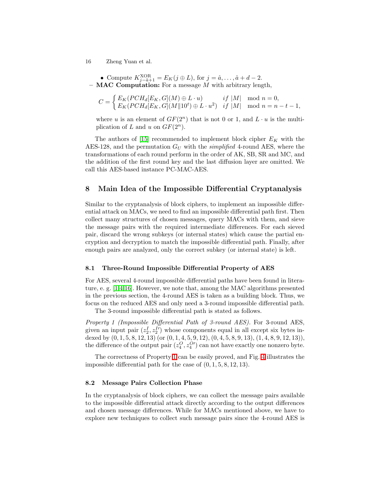• Compute  $K_{j-\hat{a}+1}^{\text{XOR}} = E_K(j \oplus L)$ , for  $j = \hat{a}, \ldots, \hat{a} + d - 2$ .  $-$  MAC Computation: For a message M with arbitrary length,

$$
C = \begin{cases} E_K(PCH_d[E_K, G](M) \oplus L \cdot u) & if \ |M| \mod n = 0, \\ E_K(PCH_d[E_K, G](M \| 10^t) \oplus L \cdot u^2) & if \ |M| \mod n = n - t - 1, \end{cases}
$$

where u is an element of  $GF(2^n)$  that is not 0 or 1, and  $L \cdot u$  is the multiplication of L and u on  $GF(2^n)$ .

The authors of [\[15\]](#page-21-14) recommended to implement block cipher  $E_K$  with the AES-128, and the permutation  $G_U$  with the *simplified* 4-round AES, where the transformations of each round perform in the order of AK, SB, SR and MC, and the addition of the first round key and the last diffusion layer are omitted. We call this AES-based instance PC-MAC-AES.

### <span id="page-15-1"></span>8 Main Idea of the Impossible Differential Cryptanalysis

Similar to the cryptanalysis of block ciphers, to implement an impossible differential attack on MACs, we need to find an impossible differential path first. Then collect many structures of chosen messages, query MACs with them, and sieve the message pairs with the required intermediate differences. For each sieved pair, discard the wrong subkeys (or internal states) which cause the partial encryption and decryption to match the impossible differential path. Finally, after enough pairs are analyzed, only the correct subkey (or internal state) is left.

#### 8.1 Three-Round Impossible Differential Property of AES

For AES, several 4-round impossible differential paths have been found in literature, e. g. [\[1,](#page-20-1)[4,](#page-21-17)[16\]](#page-21-18). However, we note that, among the MAC algorithms presented in the previous section, the 4-round AES is taken as a building block. Thus, we focus on the reduced AES and only need a 3-round impossible differential path.

<span id="page-15-0"></span>The 3-round impossible differential path is stated as follows.

Property 1 (Impossible Differential Path of 3-round AES). For 3-round AES, given an input pair  $(z_2^I, z_2^I')$  whose components equal in all except six bytes indexed by  $(0, 1, 5, 8, 12, 13)$  (or  $(0, 1, 4, 5, 9, 12), (0, 4, 5, 8, 9, 13), (1, 4, 8, 9, 12, 13)$ ), the difference of the output pair  $(z_4^O, z_4^{O'} )$  can not have exactly one nonzero byte.

The correctness of Property [1](#page-15-0) can be easily proved, and Fig. [4](#page-16-0) illustrates the impossible differential path for the case of  $(0, 1, 5, 8, 12, 13)$ .

#### 8.2 Message Pairs Collection Phase

In the cryptanalysis of block ciphers, we can collect the message pairs available to the impossible differential attack directly according to the output differences and chosen message differences. While for MACs mentioned above, we have to explore new techniques to collect such message pairs since the 4-round AES is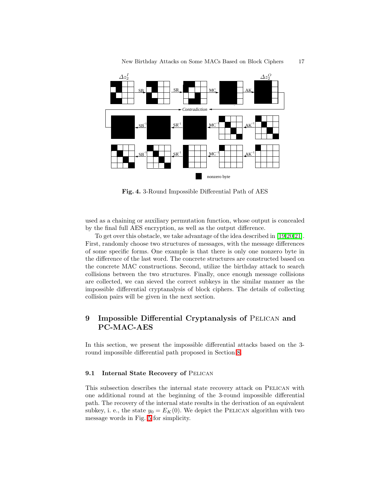

<span id="page-16-0"></span>Fig. 4. 3-Round Impossible Differential Path of AES

used as a chaining or auxiliary permutation function, whose output is concealed by the final full AES encryption, as well as the output difference.

To get over this obstacle, we take advantage of the idea described in [\[19](#page-21-9)[,20](#page-21-10)[,21\]](#page-21-11). First, randomly choose two structures of messages, with the message differences of some specific forms. One example is that there is only one nonzero byte in the difference of the last word. The concrete structures are constructed based on the concrete MAC constructions. Second, utilize the birthday attack to search collisions between the two structures. Finally, once enough message collisions are collected, we can sieved the correct subkeys in the similar manner as the impossible differential cryptanalysis of block ciphers. The details of collecting collision pairs will be given in the next section.

## 9 Impossible Differential Cryptanalysis of PELICAN and PC-MAC-AES

In this section, we present the impossible differential attacks based on the 3 round impossible differential path proposed in Section [8.](#page-15-1)

#### <span id="page-16-1"></span>9.1 Internal State Recovery of PELICAN

This subsection describes the internal state recovery attack on Pelican with one additional round at the beginning of the 3-round impossible differential path. The recovery of the internal state results in the derivation of an equivalent subkey, i. e., the state  $y_0 = E_K(0)$ . We depict the PELICAN algorithm with two message words in Fig. [5](#page-17-0) for simplicity.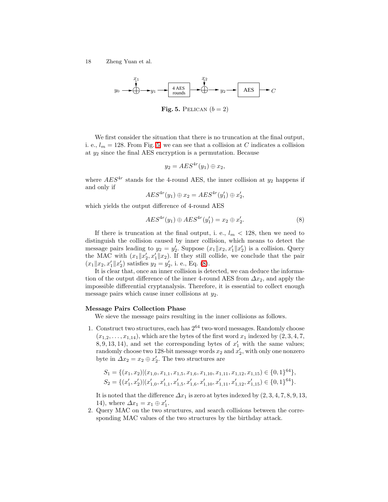$$
y_0 \longrightarrow 0
$$
  $y_1 \longrightarrow 4 AES$   $y_2 \longrightarrow 1$   $y_3 \longrightarrow C$ 

<span id="page-17-0"></span>Fig. 5. PELICAN  $(b = 2)$ 

We first consider the situation that there is no truncation at the final output, i. e.,  $l_m = 128$ . From Fig. [5,](#page-17-0) we can see that a collision at C indicates a collision at  $y_2$  since the final AES encryption is a permutation. Because

$$
y_2 = AES^{4r}(y_1) \oplus x_2,
$$

where  $AES^{4r}$  stands for the 4-round AES, the inner collision at  $y_2$  happens if and only if

$$
AES^{4r}(y_1) \oplus x_2 = AES^{4r}(y_1') \oplus x_2',
$$

<span id="page-17-1"></span>which yields the output difference of 4-round AES

$$
AES^{4r}(y_1) \oplus AES^{4r}(y_1') = x_2 \oplus x_2'. \tag{8}
$$

If there is truncation at the final output, i. e.,  $l_m < 128$ , then we need to distinguish the collision caused by inner collision, which means to detect the message pairs leading to  $y_2 = y'_2$ . Suppose  $(x_1 || x_2, x'_1 || x'_2)$  is a collision. Query the MAC with  $(x_1||x'_2, x'_1||x_2)$ . If they still collide, we conclude that the pair  $(x_1||x_2, x'_1||x'_2)$  satisfies  $y_2 = y'_2$ , i. e., Eq. [\(8\)](#page-17-1).

It is clear that, once an inner collision is detected, we can deduce the information of the output difference of the inner 4-round AES from  $\Delta x_2$ , and apply the impossible differential cryptanalysis. Therefore, it is essential to collect enough message pairs which cause inner collisions at  $y_2$ .

#### Message Pairs Collection Phase

We sieve the message pairs resulting in the inner collisions as follows.

1. Construct two structures, each has  $2^{64}$  two-word messages. Randomly choose  $(x_{1,2}, \ldots, x_{1,14})$ , which are the bytes of the first word  $x_1$  indexed by  $(2, 3, 4, 7,$  $(8, 9, 13, 14)$ , and set the corresponding bytes of  $x'_1$  with the same values; randomly choose two 128-bit message words  $x_2$  and  $x_2'$ , with only one nonzero byte in  $\Delta x_2 = x_2 \oplus x'_2$ . The two structures are

$$
S_1 = \{ (x_1, x_2) | (x_{1,0}, x_{1,1}, x_{1,5}, x_{1,6}, x_{1,10}, x_{1,11}, x_{1,12}, x_{1,15}) \in \{0, 1\}^{64} \},
$$
  
\n
$$
S_2 = \{ (x'_1, x'_2) | (x'_{1,0}, x'_{1,1}, x'_{1,5}, x'_{1,6}, x'_{1,10}, x'_{1,11}, x'_{1,12}, x'_{1,15}) \in \{0, 1\}^{64} \}.
$$

It is noted that the difference  $\Delta x_1$  is zero at bytes indexed by  $(2, 3, 4, 7, 8, 9, 13,$ 14), where  $\Delta x_1 = x_1 \oplus x'_1$ .

2. Query MAC on the two structures, and search collisions between the corresponding MAC values of the two structures by the birthday attack.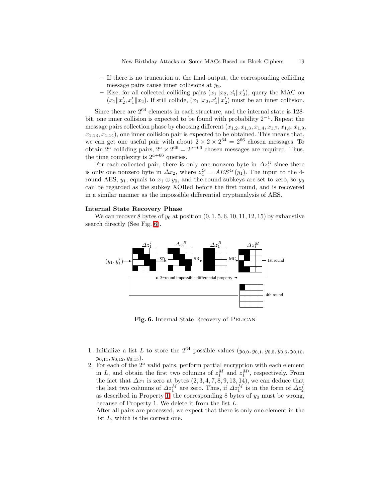- If there is no truncation at the final output, the corresponding colliding message pairs cause inner collisions at  $y_2$ .
- Else, for all collected colliding pairs  $(x_1||x_2, x'_1||x'_2)$ , query the MAC on  $(x_1||x'_2, x'_1||x_2)$ . If still collide,  $(x_1||x_2, x'_1||x'_2)$  must be an inner collision.

Since there are 2<sup>64</sup> elements in each structure, and the internal state is 128 bit, one inner collision is expected to be found with probability 2−<sup>1</sup> . Repeat the message pairs collection phase by choosing different  $(x_{1,2}, x_{1,3}, x_{1,4}, x_{1,7}, x_{1,8}, x_{1,9},$  $x_{1,13}, x_{1,14}$ , one inner collision pair is expected to be obtained. This means that, we can get one useful pair with about  $2 \times 2 \times 2^{64} = 2^{66}$  chosen messages. To obtain  $2^a$  colliding pairs,  $2^a \times 2^{66} = 2^{a+66}$  chosen messages are required. Thus, the time complexity is  $2^{a+66}$  queries.

For each collected pair, there is only one nonzero byte in  $\Delta z_4^O$  since there is only one nonzero byte in  $\Delta x_2$ , where  $z_4^O = AES^{4r}(y_1)$ . The input to the 4round AES,  $y_1$ , equals to  $x_1 \oplus y_0$ , and the round subkeys are set to zero, so  $y_0$ can be regarded as the subkey XORed before the first round, and is recovered in a similar manner as the impossible differential cryptanalysis of AES.

#### Internal State Recovery Phase

We can recover 8 bytes of  $y_0$  at position  $(0, 1, 5, 6, 10, 11, 12, 15)$  by exhaustive search directly (See Fig. [6\)](#page-18-0).



<span id="page-18-0"></span>Fig. 6. Internal State Recovery of PELICAN

- 1. Initialize a list L to store the  $2^{64}$  possible values  $(y_{0,0}, y_{0,1}, y_{0,5}, y_{0,6}, y_{0,10},$  $y_{0,11}, y_{0,12}, y_{0,15}$ .
- 2. For each of the  $2<sup>a</sup>$  valid pairs, perform partial encryption with each element in L, and obtain the first two columns of  $z_1^M$  and  $z_1^{M'}$ , respectively. From the fact that  $\Delta x_1$  is zero at bytes  $(2, 3, 4, 7, 8, 9, 13, 14)$ , we can deduce that the last two columns of  $\Delta z_1^M$  are zero. Thus, if  $\Delta z_1^M$  is in the form of  $\Delta z_2^I$ as described in Property [1,](#page-15-0) the corresponding 8 bytes of  $y_0$  must be wrong, because of Property 1. We delete it from the list L.

After all pairs are processed, we expect that there is only one element in the list L, which is the correct one.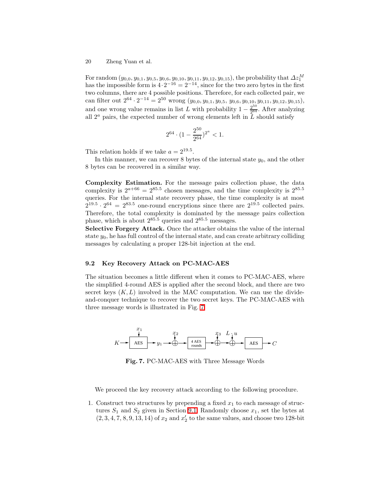For random  $(y_{0,0}, y_{0,1}, y_{0,5}, y_{0,6}, y_{0,10}, y_{0,11}, y_{0,12}, y_{0,15})$ , the probability that  $\Delta z_1^M$  has the impossible form is  $4 \cdot 2^{-16} = 2^{-14}$ , since for the two zero bytes in the first two columns, there are 4 possible positions. Therefore, for each collected pair, we can filter out  $2^{64} \cdot 2^{-14} = 2^{50}$  wrong  $(y_{0,0}, y_{0,1}, y_{0,5}, y_{0,6}, y_{0,10}, y_{0,11}, y_{0,12}, y_{0,15})$ , and one wrong value remains in list L with probability  $1 - \frac{2^{50}}{2^{64}}$ . After analyzing all  $2^a$  pairs, the expected number of wrong elements left in L should satisfy

$$
2^{64}\cdot (1-\frac{2^{50}}{2^{64}})^{2^a}<1.
$$

This relation holds if we take  $a = 2^{19.5}$ .

In this manner, we can recover 8 bytes of the internal state  $y_0$ , and the other 8 bytes can be recovered in a similar way.

Complexity Estimation. For the message pairs collection phase, the data complexity is  $2^{a+66} = 2^{85.5}$  chosen messages, and the time complexity is  $2^{85.5}$ queries. For the internal state recovery phase, the time complexity is at most  $2^{19.5} \cdot 2^{64} = 2^{83.5}$  one-round encryptions since there are  $2^{19.5}$  collected pairs. Therefore, the total complexity is dominated by the message pairs collection phase, which is about  $2^{85.5}$  queries and  $2^{85.5}$  messages.

Selective Forgery Attack. Once the attacker obtains the value of the internal state  $y_0$ , he has full control of the internal state, and can create arbitrary colliding messages by calculating a proper 128-bit injection at the end.

#### 9.2 Key Recovery Attack on PC-MAC-AES

The situation becomes a little different when it comes to PC-MAC-AES, where the simplified 4-round AES is applied after the second block, and there are two secret keys  $(K, L)$  involved in the MAC computation. We can use the divideand-conquer technique to recover the two secret keys. The PC-MAC-AES with three message words is illustrated in Fig. [7.](#page-19-0)



Fig. 7. PC-MAC-AES with Three Message Words

<span id="page-19-0"></span>We proceed the key recovery attack according to the following procedure.

1. Construct two structures by prepending a fixed  $x_1$  to each message of structures  $S_1$  and  $S_2$  given in Section [9.1.](#page-16-1) Randomly choose  $x_1$ , set the bytes at  $\left(2, 3, 4, 7, 8, 9, 13, 14\right)$  of  $x_2$  and  $x_2'$  to the same values, and choose two 128-bit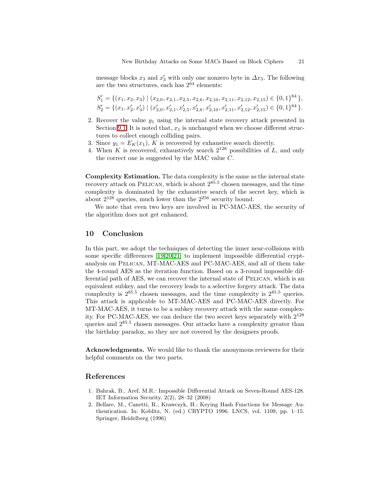message blocks  $x_3$  and  $x'_3$  with only one nonzero byte in  $\Delta x_3$ . The following are the two structures, each has  $2^{64}$  elements:

$$
S'_1 = \{ (x_1, x_2, x_3) \mid (x_{2,0}, x_{2,1}, x_{2,5}, x_{2,6}, x_{2,10}, x_{2,11}, x_{2,12}, x_{2,15}) \in \{0, 1\}^{64} \},
$$
  

$$
S'_2 = \{ (x_1, x'_2, x'_3) \mid (x'_{2,0}, x'_{2,1}, x'_{2,5}, x'_{2,6}, x'_{2,10}, x'_{2,11}, x'_{2,12}, x'_{2,15}) \in \{0, 1\}^{64} \}.
$$

- 2. Recover the value  $y_1$  using the internal state recovery attack presented in Section [9.1.](#page-16-1) It is noted that,  $x_1$  is unchanged when we choose different structures to collect enough colliding pairs.
- 3. Since  $y_1 = E_K(x_1)$ , K is recovered by exhaustive search directly.
- 4. When K is recovered, exhaustively search  $2^{128}$  possibilities of L, and only the correct one is suggested by the MAC value  $C$ .

Complexity Estimation. The data complexity is the same as the internal state recovery attack on PELICAN, which is about  $2^{85.5}$  chosen messages, and the time complexity is dominated by the exhaustive search of the secret key, which is about  $2^{128}$  queries, much lower than the  $2^{256}$  security bound.

We note that even two keys are involved in PC-MAC-AES, the security of the algorithm does not get enhanced.

## 10 Conclusion

In this part, we adopt the techniques of detecting the inner near-collisions with some specific differences [\[19](#page-21-9)[,20](#page-21-10)[,21\]](#page-21-11) to implement impossible differential cryptanalysis on Pelican, MT-MAC-AES and PC-MAC-AES, and all of them take the 4-round AES as the iteration function. Based on a 3-round impossible differential path of AES, we can recover the internal state of PELICAN, which is an equivalent subkey, and the recovery leads to a selective forgery attack. The data complexity is  $2^{85.5}$  chosen messages, and the time complexity is  $2^{85.5}$  queries. This attack is applicable to MT-MAC-AES and PC-MAC-AES directly. For MT-MAC-AES, it turns to be a subkey recovery attack with the same complexity. For PC-MAC-AES, we can deduce the two secret keys separately with 2<sup>128</sup> queries and 2<sup>85</sup>.<sup>5</sup> chosen messages. Our attacks have a complexity greater than the birthday paradox, so they are not covered by the designers proofs.

Acknowledgments. We would like to thank the anonymous reviewers for their helpful comments on the two parts.

### <span id="page-20-1"></span>References

- 1. Bahrak, B., Aref, M.R.: Impossible Differential Attack on Seven-Round AES-128. IET Information Security, 2(2), 28–32 (2008)
- <span id="page-20-0"></span>2. Bellare, M., Canetti, R., Krawczyk, H.: Keying Hash Functions for Message Authentication. In: Koblitz, N. (ed.) CRYPTO 1996. LNCS, vol. 1109, pp. 1–15. Springer, Heidelberg (1996)